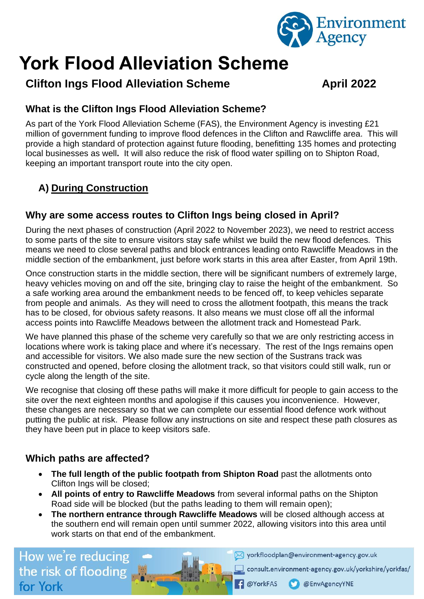

# **York Flood Alleviation Scheme**

# **Clifton Ings Flood Alleviation Scheme Manual April 2022**

# **What is the Clifton Ings Flood Alleviation Scheme?**

As part of the York Flood Alleviation Scheme (FAS), the Environment Agency is investing £21 million of government funding to improve flood defences in the Clifton and Rawcliffe area. This will provide a high standard of protection against future flooding, benefitting 135 homes and protecting local businesses as well**.** It will also reduce the risk of flood water spilling on to Shipton Road, keeping an important transport route into the city open.

# **A) During Construction**

## **Why are some access routes to Clifton Ings being closed in April?**

During the next phases of construction (April 2022 to November 2023), we need to restrict access to some parts of the site to ensure visitors stay safe whilst we build the new flood defences. This means we need to close several paths and block entrances leading onto Rawcliffe Meadows in the middle section of the embankment, just before work starts in this area after Easter, from April 19th.

Once construction starts in the middle section, there will be significant numbers of extremely large, heavy vehicles moving on and off the site, bringing clay to raise the height of the embankment. So a safe working area around the embankment needs to be fenced off, to keep vehicles separate from people and animals. As they will need to cross the allotment footpath, this means the track has to be closed, for obvious safety reasons. It also means we must close off all the informal access points into Rawcliffe Meadows between the allotment track and Homestead Park.

We have planned this phase of the scheme very carefully so that we are only restricting access in locations where work is taking place and where it's necessary. The rest of the Ings remains open and accessible for visitors. We also made sure the new section of the Sustrans track was constructed and opened, before closing the allotment track, so that visitors could still walk, run or cycle along the length of the site.

We recognise that closing off these paths will make it more difficult for people to gain access to the site over the next eighteen months and apologise if this causes you inconvenience. However, these changes are necessary so that we can complete our essential flood defence work without putting the public at risk. Please follow any instructions on site and respect these path closures as they have been put in place to keep visitors safe.

# **Which paths are affected?**

- **The full length of the public footpath from Shipton Road** past the allotments onto Clifton Ings will be closed;
- **All points of entry to Rawcliffe Meadows** from several informal paths on the Shipton Road side will be blocked (but the paths leading to them will remain open);
- **The northern entrance through Rawcliffe Meadows** will be closed although access at the southern end will remain open until summer 2022, allowing visitors into this area until work starts on that end of the embankment.

**C** @YorkFAS

How we're reducing the risk of flooding, for York

Vorkfloodplan@environment-agency.gov.uk

consult.environment-agency.gov.uk/yorkshire/yorkfas/

@EnvAgencyYNE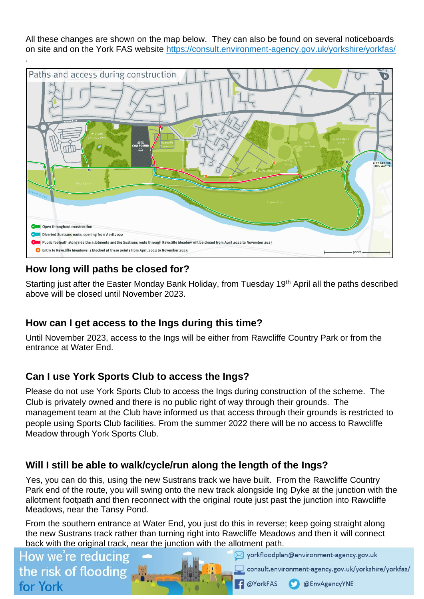All these changes are shown on the map below. They can also be found on several noticeboards on site and on the York FAS website https://consult.environment-agency.gov.uk/yorkshire/yorkfas/



## **How long will paths be closed for?**

Starting just after the Easter Monday Bank Holiday, from Tuesday 19<sup>th</sup> April all the paths described above will be closed until November 2023.

#### **How can I get access to the Ings during this time?**

Until November 2023, access to the Ings will be either from Rawcliffe Country Park or from the entrance at Water End.

# **Can I use York Sports Club to access the Ings?**

Please do not use York Sports Club to access the Ings during construction of the scheme. The Club is privately owned and there is no public right of way through their grounds. The management team at the Club have informed us that access through their grounds is restricted to people using Sports Club facilities. From the summer 2022 there will be no access to Rawcliffe Meadow through York Sports Club.

# **Will I still be able to walk/cycle/run along the length of the Ings?**

Yes, you can do this, using the new Sustrans track we have built. From the Rawcliffe Country Park end of the route, you will swing onto the new track alongside Ing Dyke at the junction with the allotment footpath and then reconnect with the original route just past the junction into Rawcliffe Meadows, near the Tansy Pond.

From the southern entrance at Water End, you just do this in reverse; keep going straight along the new Sustrans track rather than turning right into Rawcliffe Meadows and then it will connect back with the original track, near the junction with the allotment path.

# How we're reducing the risk of flooding for York

Vorkfloodplan@environment-agency.gov.uk

consult.environment-agency.gov.uk/yorkshire/yorkfas/

@EnvAgencyYNE

**@YorkFAS**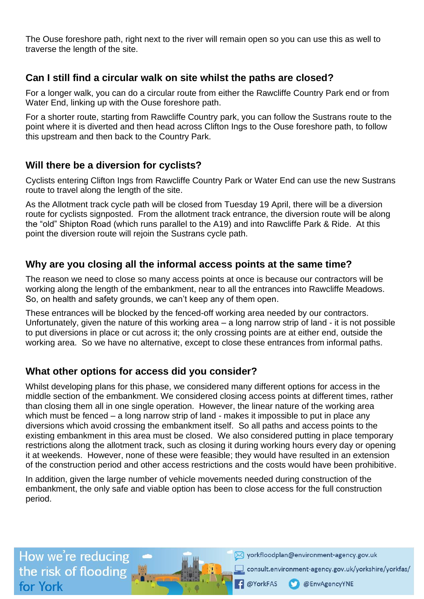The Ouse foreshore path, right next to the river will remain open so you can use this as well to traverse the length of the site.

## **Can I still find a circular walk on site whilst the paths are closed?**

For a longer walk, you can do a circular route from either the Rawcliffe Country Park end or from Water End, linking up with the Ouse foreshore path.

For a shorter route, starting from Rawcliffe Country park, you can follow the Sustrans route to the point where it is diverted and then head across Clifton Ings to the Ouse foreshore path, to follow this upstream and then back to the Country Park.

#### **Will there be a diversion for cyclists?**

Cyclists entering Clifton Ings from Rawcliffe Country Park or Water End can use the new Sustrans route to travel along the length of the site.

As the Allotment track cycle path will be closed from Tuesday 19 April, there will be a diversion route for cyclists signposted. From the allotment track entrance, the diversion route will be along the "old" Shipton Road (which runs parallel to the A19) and into Rawcliffe Park & Ride. At this point the diversion route will rejoin the Sustrans cycle path.

## **Why are you closing all the informal access points at the same time?**

The reason we need to close so many access points at once is because our contractors will be working along the length of the embankment, near to all the entrances into Rawcliffe Meadows. So, on health and safety grounds, we can't keep any of them open.

These entrances will be blocked by the fenced-off working area needed by our contractors. Unfortunately, given the nature of this working area – a long narrow strip of land - it is not possible to put diversions in place or cut across it; the only crossing points are at either end, outside the working area. So we have no alternative, except to close these entrances from informal paths.

# **What other options for access did you consider?**

Whilst developing plans for this phase, we considered many different options for access in the middle section of the embankment. We considered closing access points at different times, rather than closing them all in one single operation. However, the linear nature of the working area which must be fenced – a long narrow strip of land - makes it impossible to put in place any diversions which avoid crossing the embankment itself. So all paths and access points to the existing embankment in this area must be closed. We also considered putting in place temporary restrictions along the allotment track, such as closing it during working hours every day or opening it at weekends. However, none of these were feasible; they would have resulted in an extension of the construction period and other access restrictions and the costs would have been prohibitive.

In addition, given the large number of vehicle movements needed during construction of the embankment, the only safe and viable option has been to close access for the full construction period.

How we're reducing the risk of flooding. for York

Vorkfloodplan@environment-agency.gov.uk

consult.environment-agency.gov.uk/yorkshire/yorkfas/

@EnvAgencyYNE

**D**YorkFAS